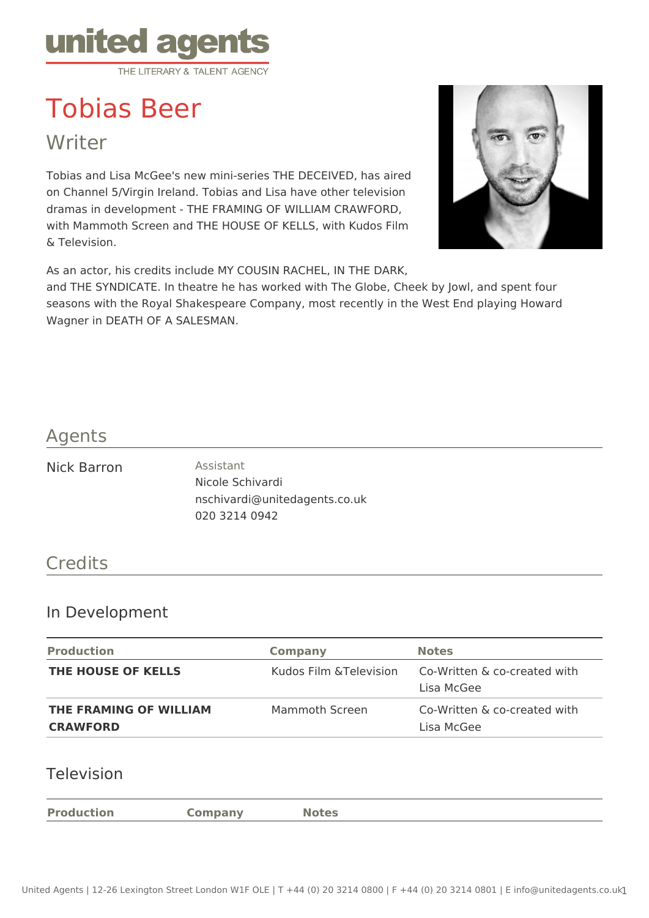

# Tobias Beer

**Writer** 

Tobias and Lisa McGee's new mini-series THE DECEIVED, has aired on Channel 5/Virgin Ireland. Tobias and Lisa have other television dramas in development - THE FRAMING OF WILLIAM CRAWFORD, with Mammoth Screen and THE HOUSE OF KELLS, with Kudos Film & Television.

As an actor, his credits include MY COUSIN RACHEL, IN THE DARK,

and THE SYNDICATE. In theatre he has worked with The Globe, Cheek by Jowl, and spent four seasons with the Royal Shakespeare Company, most recently in the West End playing Howard Wagner in DEATH OF A SALESMAN.

### Agents

Nick Barron **Assistant** 

Nicole Schivardi nschivardi@unitedagents.co.uk 020 3214 0942

## **Credits**

#### In Development

| <b>Production</b>                         | <b>Company</b>          | <b>Notes</b>                               |
|-------------------------------------------|-------------------------|--------------------------------------------|
| <b>THE HOUSE OF KELLS</b>                 | Kudos Film & Television | Co-Written & co-created with<br>Lisa McGee |
| THE FRAMING OF WILLIAM<br><b>CRAWFORD</b> | Mammoth Screen          | Co-Written & co-created with<br>Lisa McGee |

#### Television

**Production Company Notes**